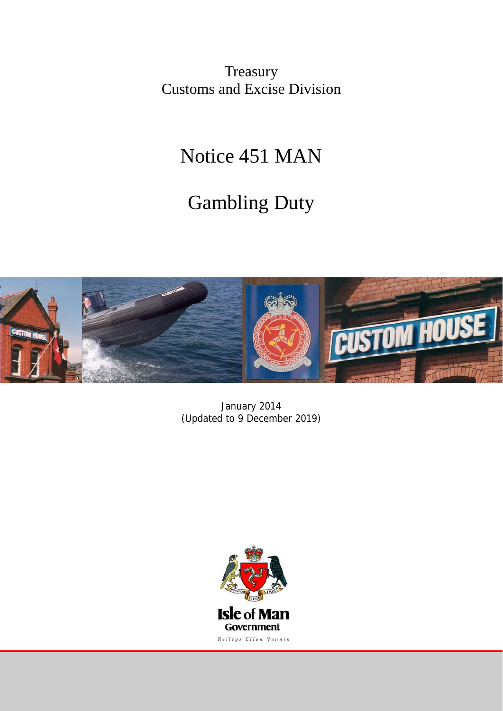Treasury Customs and Excise Division

## Notice 451 MAN

# Gambling Duty



January 2014 (Updated to 9 December 2019)

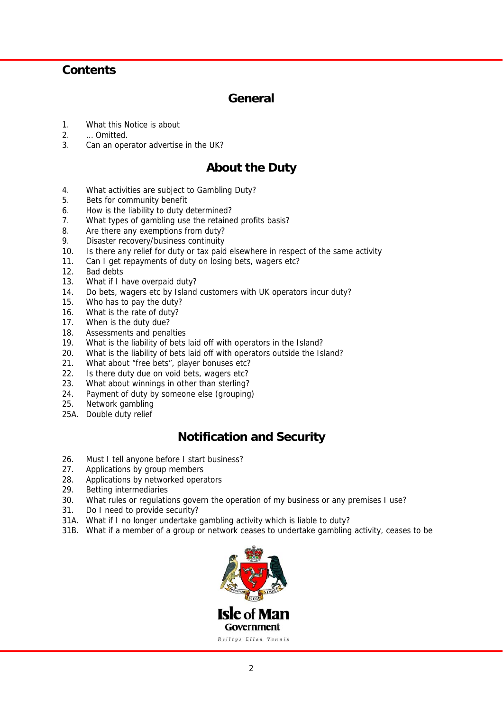### **Contents**

### **General**

- 1. What this Notice is about
- 2. … Omitted.
- 3. Can an operator advertise in the UK?

### **About the Duty**

- 4. What activities are subject to Gambling Duty?
- 5. Bets for community benefit
- 6. How is the liability to duty determined?
- 7. What types of gambling use the retained profits basis?
- 8. Are there any exemptions from duty?
- 9. Disaster recovery/business continuity
- 10. Is there any relief for duty or tax paid elsewhere in respect of the same activity
- 11. Can I get repayments of duty on losing bets, wagers etc?
- 12. Bad debts
- 13. What if I have overpaid duty?
- 14. Do bets, wagers etc by Island customers with UK operators incur duty?
- 15. Who has to pay the duty?
- 16. What is the rate of duty?
- 17. When is the duty due?
- 18. Assessments and penalties
- 19. What is the liability of bets laid off with operators in the Island?
- 20. What is the liability of bets laid off with operators outside the Island?
- 21. What about "free bets", player bonuses etc?
- 22. Is there duty due on void bets, wagers etc?
- 23. What about winnings in other than sterling?
- 24. Payment of duty by someone else (grouping)
- 25. Network gambling
- 25A. Double duty relief

### **Notification and Security**

- 26. Must I tell anyone before I start business?
- 27. Applications by group members
- 28. Applications by networked operators
- 29. Betting intermediaries
- 30. What rules or regulations govern the operation of my business or any premises I use?
- 31. Do I need to provide security?
- 31A. What if I no longer undertake gambling activity which is liable to duty?
- 31B. What if a member of a group or network ceases to undertake gambling activity, ceases to be

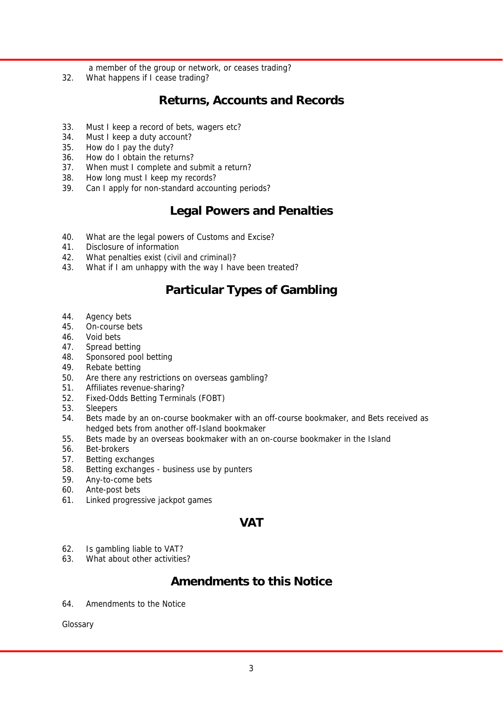a member of the group or network, or ceases trading?

32. What happens if I cease trading?

### **Returns, Accounts and Records**

- 33. Must I keep a record of bets, wagers etc?
- 34. Must I keep a duty account?
- 35. How do I pay the duty?
- 36. How do I obtain the returns?
- 37. When must I complete and submit a return?
- 38. How long must I keep my records?
- 39. Can I apply for non-standard accounting periods?

### **Legal Powers and Penalties**

- 40. What are the legal powers of Customs and Excise?
- 41. Disclosure of information
- 42. What penalties exist (civil and criminal)?
- 43. What if I am unhappy with the way I have been treated?

### **Particular Types of Gambling**

- 44. Agency bets
- 45. On-course bets
- 46. Void bets
- 47. Spread betting
- 48. Sponsored pool betting
- 49. Rebate betting
- 50. Are there any restrictions on overseas gambling?
- 51. Affiliates revenue-sharing?
- 52. Fixed-Odds Betting Terminals (FOBT)
- 53. Sleepers
- 54. Bets made by an on-course bookmaker with an off-course bookmaker, and Bets received as hedged bets from another off-Island bookmaker
- 55. Bets made by an overseas bookmaker with an on-course bookmaker in the Island
- 56. Bet-brokers
- 57. Betting exchanges
- 58. Betting exchanges business use by punters
- 59. Any-to-come bets
- 60. Ante-post bets
- 61. Linked progressive jackpot games

### **VAT**

- 62. Is gambling liable to VAT?
- 63. What about other activities?

### **Amendments to this Notice**

64. Amendments to the Notice

Glossary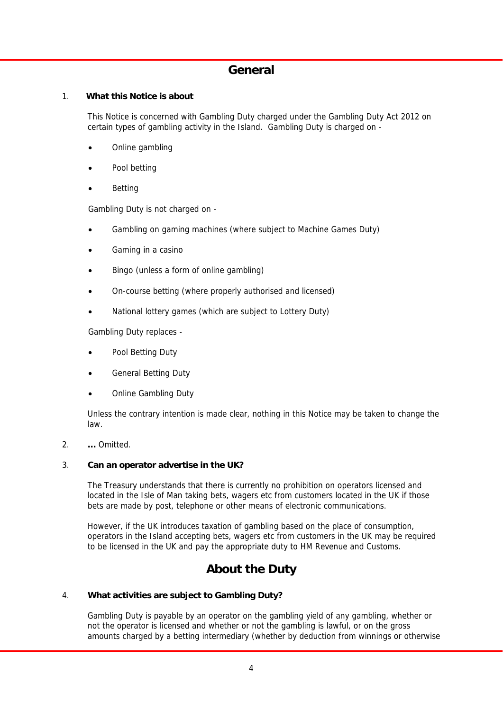### **General**

#### 1. **What this Notice is about**

 This Notice is concerned with Gambling Duty charged under the Gambling Duty Act 2012 on certain types of gambling activity in the Island. Gambling Duty is charged on -

- Online gambling
- Pool betting
- Betting

Gambling Duty is not charged on -

- Gambling on gaming machines (where subject to Machine Games Duty)
- Gaming in a casino
- Bingo (unless a form of online gambling)
- On-course betting (where properly authorised and licensed)
- National lottery games (which are subject to Lottery Duty)

Gambling Duty replaces -

- Pool Betting Duty
- General Betting Duty
- Online Gambling Duty

 Unless the contrary intention is made clear, nothing in this Notice may be taken to change the law.

2. **…** Omitted.

#### 3. **Can an operator advertise in the UK?**

 The Treasury understands that there is currently no prohibition on operators licensed and located in the Isle of Man taking bets, wagers etc from customers located in the UK if those bets are made by post, telephone or other means of electronic communications.

 However, if the UK introduces taxation of gambling based on the place of consumption, operators in the Island accepting bets, wagers etc from customers in the UK may be required to be licensed in the UK and pay the appropriate duty to HM Revenue and Customs.

### **About the Duty**

#### 4. **What activities are subject to Gambling Duty?**

 Gambling Duty is payable by an operator on the gambling yield of any gambling, whether or not the operator is licensed and whether or not the gambling is lawful, or on the gross amounts charged by a betting intermediary (whether by deduction from winnings or otherwise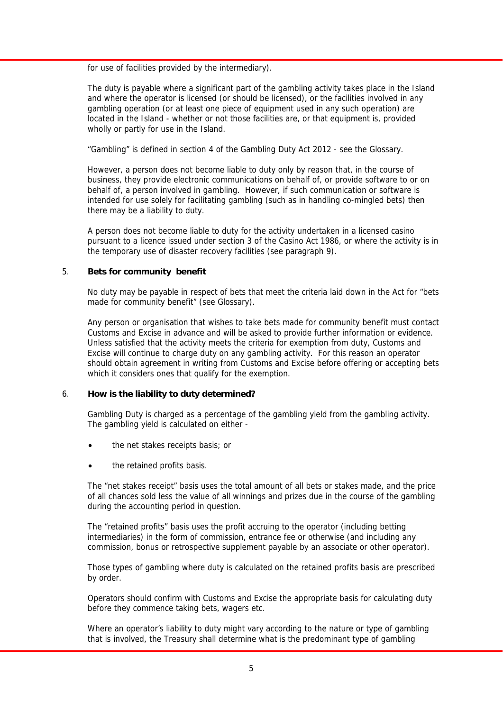for use of facilities provided by the intermediary).

 The duty is payable where a significant part of the gambling activity takes place in the Island and where the operator is licensed (or should be licensed), or the facilities involved in any gambling operation (or at least one piece of equipment used in any such operation) are located in the Island - whether or not those facilities are, or that equipment is, provided wholly or partly for use in the Island.

"Gambling" is defined in section 4 of the Gambling Duty Act 2012 - see the Glossary.

 However, a person does not become liable to duty only by reason that, in the course of business, they provide electronic communications on behalf of, or provide software to or on behalf of, a person involved in gambling. However, if such communication or software is intended for use solely for facilitating gambling (such as in handling co-mingled bets) then there may be a liability to duty.

 A person does not become liable to duty for the activity undertaken in a licensed casino pursuant to a licence issued under section 3 of the Casino Act 1986, or where the activity is in the temporary use of disaster recovery facilities (see paragraph 9).

#### 5. **Bets for community benefit**

 No duty may be payable in respect of bets that meet the criteria laid down in the Act for "bets made for community benefit" (see Glossary).

 Any person or organisation that wishes to take bets made for community benefit must contact Customs and Excise in advance and will be asked to provide further information or evidence. Unless satisfied that the activity meets the criteria for exemption from duty, Customs and Excise will continue to charge duty on any gambling activity. For this reason an operator should obtain agreement in writing from Customs and Excise before offering or accepting bets which it considers ones that qualify for the exemption.

#### 6. **How is the liability to duty determined?**

 Gambling Duty is charged as a percentage of the gambling yield from the gambling activity. The gambling yield is calculated on either -

- the net stakes receipts basis; or
- the retained profits basis.

 The "net stakes receipt" basis uses the total amount of all bets or stakes made, and the price of all chances sold less the value of all winnings and prizes due in the course of the gambling during the accounting period in question.

 The "retained profits" basis uses the profit accruing to the operator (including betting intermediaries) in the form of commission, entrance fee or otherwise (and including any commission, bonus or retrospective supplement payable by an associate or other operator).

 Those types of gambling where duty is calculated on the retained profits basis are prescribed by order.

 Operators should confirm with Customs and Excise the appropriate basis for calculating duty before they commence taking bets, wagers etc.

 Where an operator's liability to duty might vary according to the nature or type of gambling that is involved, the Treasury shall determine what is the predominant type of gambling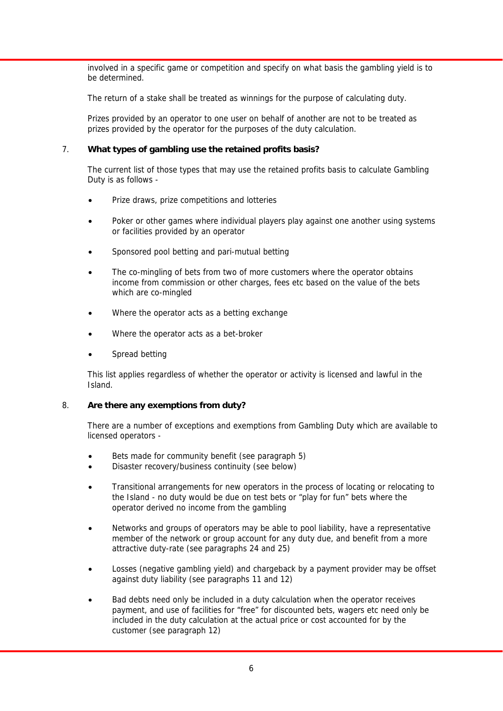involved in a specific game or competition and specify on what basis the gambling yield is to be determined.

The return of a stake shall be treated as winnings for the purpose of calculating duty.

 Prizes provided by an operator to one user on behalf of another are not to be treated as prizes provided by the operator for the purposes of the duty calculation.

#### 7. **What types of gambling use the retained profits basis?**

 The current list of those types that may use the retained profits basis to calculate Gambling Duty is as follows -

- Prize draws, prize competitions and lotteries
- Poker or other games where individual players play against one another using systems or facilities provided by an operator
- Sponsored pool betting and pari-mutual betting
- The co-mingling of bets from two of more customers where the operator obtains income from commission or other charges, fees etc based on the value of the bets which are co-mingled
- Where the operator acts as a betting exchange
- Where the operator acts as a bet-broker
- Spread betting

 This list applies regardless of whether the operator or activity is licensed and lawful in the Island.

#### 8. **Are there any exemptions from duty?**

 There are a number of exceptions and exemptions from Gambling Duty which are available to licensed operators -

- Bets made for community benefit (see paragraph 5)
- Disaster recovery/business continuity (see below)
- Transitional arrangements for new operators in the process of locating or relocating to the Island - no duty would be due on test bets or "play for fun" bets where the operator derived no income from the gambling
- Networks and groups of operators may be able to pool liability, have a representative member of the network or group account for any duty due, and benefit from a more attractive duty-rate (see paragraphs 24 and 25)
- Losses (negative gambling yield) and chargeback by a payment provider may be offset against duty liability (see paragraphs 11 and 12)
- Bad debts need only be included in a duty calculation when the operator receives payment, and use of facilities for "free" for discounted bets, wagers etc need only be included in the duty calculation at the actual price or cost accounted for by the customer (see paragraph 12)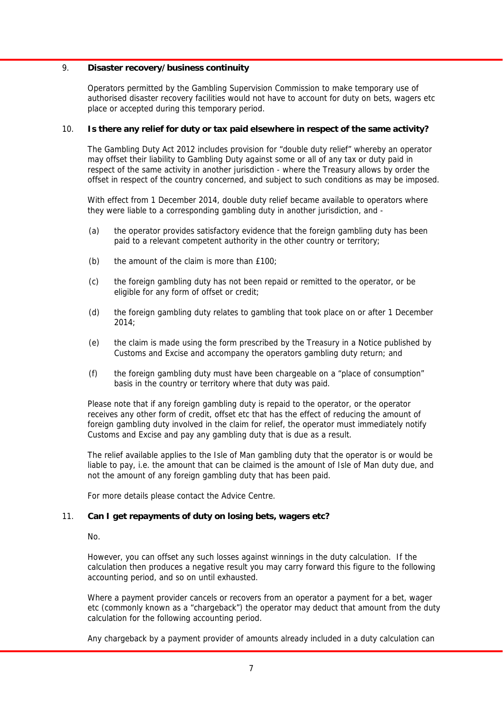#### 9. **Disaster recovery/business continuity**

 Operators permitted by the Gambling Supervision Commission to make temporary use of authorised disaster recovery facilities would not have to account for duty on bets, wagers etc place or accepted during this temporary period.

#### 10. **Is there any relief for duty or tax paid elsewhere in respect of the same activity?**

 The Gambling Duty Act 2012 includes provision for "double duty relief" whereby an operator may offset their liability to Gambling Duty against some or all of any tax or duty paid in respect of the same activity in another jurisdiction - where the Treasury allows by order the offset in respect of the country concerned, and subject to such conditions as may be imposed.

With effect from 1 December 2014, double duty relief became available to operators where they were liable to a corresponding gambling duty in another jurisdiction, and -

- (a) the operator provides satisfactory evidence that the foreign gambling duty has been paid to a relevant competent authority in the other country or territory;
- (b) the amount of the claim is more than £100;
- (c) the foreign gambling duty has not been repaid or remitted to the operator, or be eligible for any form of offset or credit;
- (d) the foreign gambling duty relates to gambling that took place on or after 1 December 2014;
- (e) the claim is made using the form prescribed by the Treasury in a Notice published by Customs and Excise and accompany the operators gambling duty return; and
- (f) the foreign gambling duty must have been chargeable on a "place of consumption" basis in the country or territory where that duty was paid.

 Please note that if any foreign gambling duty is repaid to the operator, or the operator receives any other form of credit, offset etc that has the effect of reducing the amount of foreign gambling duty involved in the claim for relief, the operator must immediately notify Customs and Excise and pay any gambling duty that is due as a result.

 The relief available applies to the Isle of Man gambling duty that the operator is or would be liable to pay, i.e. the amount that can be claimed is the amount of Isle of Man duty due, and not the amount of any foreign gambling duty that has been paid.

For more details please contact the Advice Centre.

#### 11. **Can I get repayments of duty on losing bets, wagers etc?**

No.

 However, you can offset any such losses against winnings in the duty calculation. If the calculation then produces a negative result you may carry forward this figure to the following accounting period, and so on until exhausted.

 Where a payment provider cancels or recovers from an operator a payment for a bet, wager etc (commonly known as a "chargeback") the operator may deduct that amount from the duty calculation for the following accounting period.

Any chargeback by a payment provider of amounts already included in a duty calculation can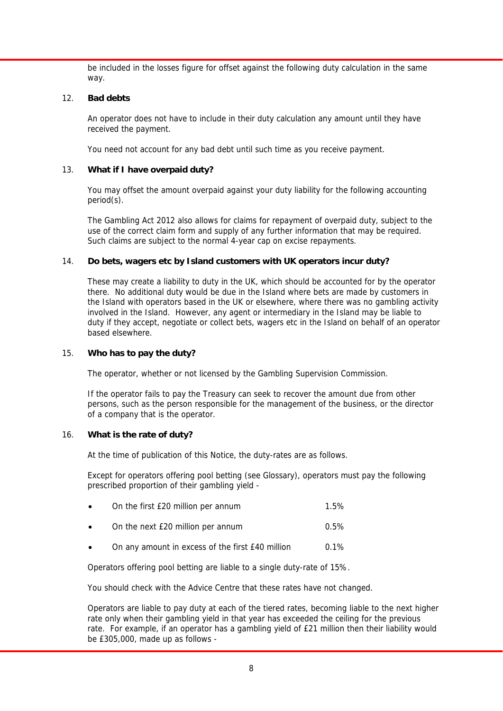be included in the losses figure for offset against the following duty calculation in the same way.

#### 12. **Bad debts**

 An operator does not have to include in their duty calculation any amount until they have received the payment.

You need not account for any bad debt until such time as you receive payment.

#### 13. **What if I have overpaid duty?**

 You may offset the amount overpaid against your duty liability for the following accounting period(s).

 The Gambling Act 2012 also allows for claims for repayment of overpaid duty, subject to the use of the correct claim form and supply of any further information that may be required. Such claims are subject to the normal 4-year cap on excise repayments.

#### 14. **Do bets, wagers etc by Island customers with UK operators incur duty?**

 These may create a liability to duty in the UK, which should be accounted for by the operator there. No additional duty would be due in the Island where bets are made by customers in the Island with operators based in the UK or elsewhere, where there was no gambling activity involved in the Island. However, any agent or intermediary in the Island may be liable to duty if they accept, negotiate or collect bets, wagers etc in the Island on behalf of an operator based elsewhere.

#### 15. **Who has to pay the duty?**

The operator, whether or not licensed by the Gambling Supervision Commission.

 If the operator fails to pay the Treasury can seek to recover the amount due from other persons, such as the person responsible for the management of the business, or the director of a company that is the operator.

#### 16. **What is the rate of duty?**

At the time of publication of this Notice, the duty-rates are as follows.

 Except for operators offering pool betting (see Glossary), operators must pay the following prescribed proportion of their gambling yield -

|  | On the first £20 million per annum |  | 1.5% |
|--|------------------------------------|--|------|
|--|------------------------------------|--|------|

- On the next £20 million per annum 0.5%
- On any amount in excess of the first £40 million 0.1%

Operators offering pool betting are liable to a single duty-rate of 15%.

You should check with the Advice Centre that these rates have not changed.

 Operators are liable to pay duty at each of the tiered rates, becoming liable to the next higher rate only when their gambling yield in that year has exceeded the ceiling for the previous rate. For example, if an operator has a gambling yield of £21 million then their liability would be £305,000, made up as follows -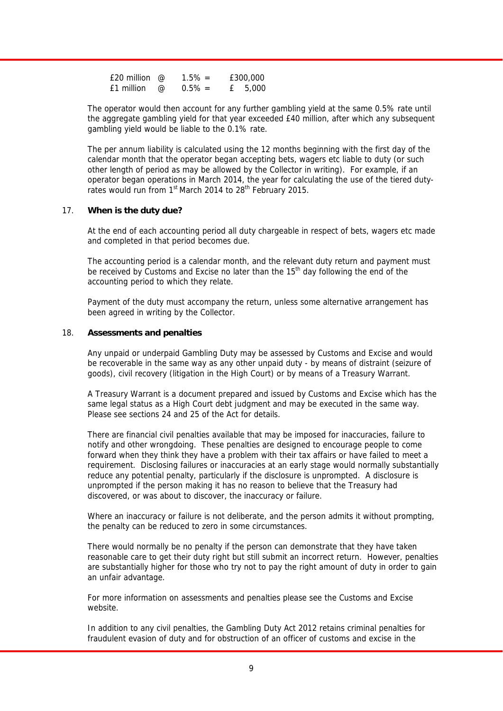| £20 million $@$ |          | $1.5\% =$ | £300,000 |
|-----------------|----------|-----------|----------|
| £1 million      | $\varpi$ | $0.5\% =$ | £ 5.000  |

 The operator would then account for any further gambling yield at the same 0.5% rate until the aggregate gambling yield for that year exceeded  $f$ 40 million, after which any subsequent gambling yield would be liable to the 0.1% rate.

 The per annum liability is calculated using the 12 months beginning with the first day of the calendar month that the operator began accepting bets, wagers etc liable to duty (or such other length of period as may be allowed by the Collector in writing). For example, if an operator began operations in March 2014, the year for calculating the use of the tiered dutyrates would run from 1<sup>st</sup> March 2014 to 28<sup>th</sup> February 2015.

#### 17. **When is the duty due?**

 At the end of each accounting period all duty chargeable in respect of bets, wagers etc made and completed in that period becomes due.

 The accounting period is a calendar month, and the relevant duty return and payment must be received by Customs and Excise no later than the 15<sup>th</sup> day following the end of the accounting period to which they relate.

 Payment of the duty must accompany the return, unless some alternative arrangement has been agreed in writing by the Collector.

#### 18. **Assessments and penalties**

 Any unpaid or underpaid Gambling Duty may be assessed by Customs and Excise and would be recoverable in the same way as any other unpaid duty - by means of distraint (seizure of goods), civil recovery (litigation in the High Court) or by means of a Treasury Warrant.

 A Treasury Warrant is a document prepared and issued by Customs and Excise which has the same legal status as a High Court debt judgment and may be executed in the same way. Please see sections 24 and 25 of the Act for details.

 There are financial civil penalties available that may be imposed for inaccuracies, failure to notify and other wrongdoing. These penalties are designed to encourage people to come forward when they think they have a problem with their tax affairs or have failed to meet a requirement. Disclosing failures or inaccuracies at an early stage would normally substantially reduce any potential penalty, particularly if the disclosure is unprompted. A disclosure is unprompted if the person making it has no reason to believe that the Treasury had discovered, or was about to discover, the inaccuracy or failure.

 Where an inaccuracy or failure is not deliberate, and the person admits it without prompting, the penalty can be reduced to zero in some circumstances.

 There would normally be no penalty if the person can demonstrate that they have taken reasonable care to get their duty right but still submit an incorrect return. However, penalties are substantially higher for those who try not to pay the right amount of duty in order to gain an unfair advantage.

 For more information on assessments and penalties please see the Customs and Excise website.

 In addition to any civil penalties, the Gambling Duty Act 2012 retains criminal penalties for fraudulent evasion of duty and for obstruction of an officer of customs and excise in the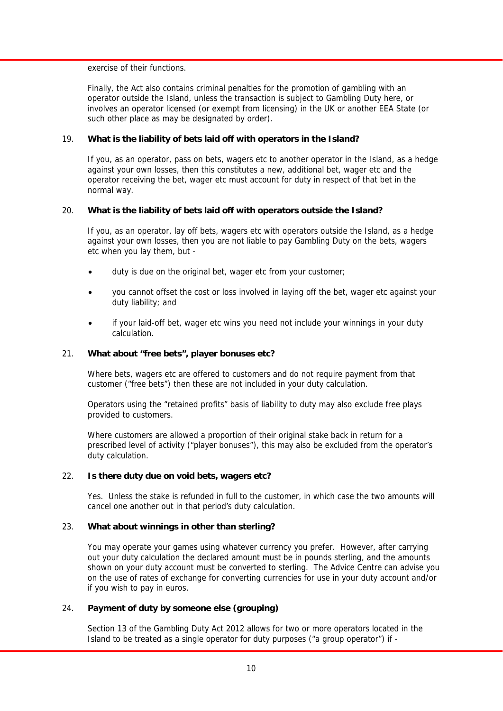exercise of their functions.

 Finally, the Act also contains criminal penalties for the promotion of gambling with an operator outside the Island, unless the transaction is subject to Gambling Duty here, or involves an operator licensed (or exempt from licensing) in the UK or another EEA State (or such other place as may be designated by order).

#### 19. **What is the liability of bets laid off with operators in the Island?**

 If you, as an operator, pass on bets, wagers etc to another operator in the Island, as a hedge against your own losses, then this constitutes a new, additional bet, wager etc and the operator receiving the bet, wager etc must account for duty in respect of that bet in the normal way.

#### 20. **What is the liability of bets laid off with operators outside the Island?**

 If you, as an operator, lay off bets, wagers etc with operators outside the Island, as a hedge against your own losses, then you are not liable to pay Gambling Duty on the bets, wagers etc when you lay them, but -

- duty is due on the original bet, wager etc from your customer;
- you cannot offset the cost or loss involved in laying off the bet, wager etc against your duty liability; and
- if your laid-off bet, wager etc wins you need not include your winnings in your duty calculation.

#### 21. **What about "free bets", player bonuses etc?**

 Where bets, wagers etc are offered to customers and do not require payment from that customer ("free bets") then these are not included in your duty calculation.

 Operators using the "retained profits" basis of liability to duty may also exclude free plays provided to customers.

 Where customers are allowed a proportion of their original stake back in return for a prescribed level of activity ("player bonuses"), this may also be excluded from the operator's duty calculation.

#### 22. **Is there duty due on void bets, wagers etc?**

 Yes. Unless the stake is refunded in full to the customer, in which case the two amounts will cancel one another out in that period's duty calculation.

#### 23. **What about winnings in other than sterling?**

 You may operate your games using whatever currency you prefer. However, after carrying out your duty calculation the declared amount must be in pounds sterling, and the amounts shown on your duty account must be converted to sterling. The Advice Centre can advise you on the use of rates of exchange for converting currencies for use in your duty account and/or if you wish to pay in euros.

#### 24. **Payment of duty by someone else (grouping)**

 Section 13 of the Gambling Duty Act 2012 allows for two or more operators located in the Island to be treated as a single operator for duty purposes ("a group operator") if -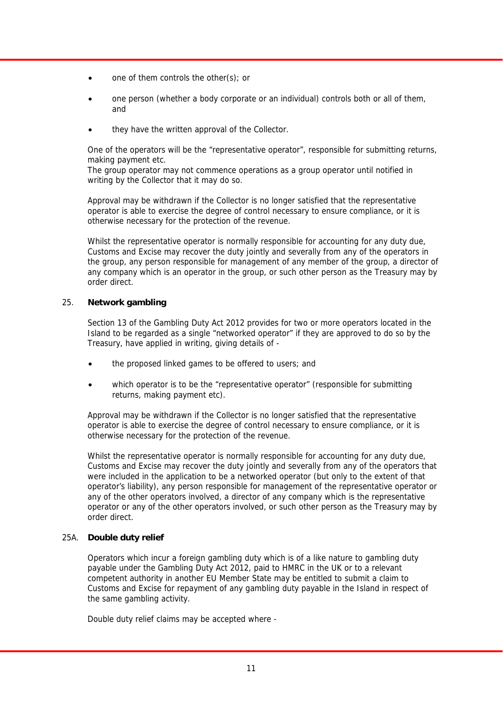- one of them controls the other(s); or
- one person (whether a body corporate or an individual) controls both or all of them, and
- they have the written approval of the Collector.

 One of the operators will be the "representative operator", responsible for submitting returns, making payment etc.

 The group operator may not commence operations as a group operator until notified in writing by the Collector that it may do so.

 Approval may be withdrawn if the Collector is no longer satisfied that the representative operator is able to exercise the degree of control necessary to ensure compliance, or it is otherwise necessary for the protection of the revenue.

Whilst the representative operator is normally responsible for accounting for any duty due, Customs and Excise may recover the duty jointly and severally from any of the operators in the group, any person responsible for management of any member of the group, a director of any company which is an operator in the group, or such other person as the Treasury may by order direct.

#### 25. **Network gambling**

 Section 13 of the Gambling Duty Act 2012 provides for two or more operators located in the Island to be regarded as a single "networked operator" if they are approved to do so by the Treasury, have applied in writing, giving details of -

- the proposed linked games to be offered to users; and
- which operator is to be the "representative operator" (responsible for submitting returns, making payment etc).

 Approval may be withdrawn if the Collector is no longer satisfied that the representative operator is able to exercise the degree of control necessary to ensure compliance, or it is otherwise necessary for the protection of the revenue.

 Whilst the representative operator is normally responsible for accounting for any duty due, Customs and Excise may recover the duty jointly and severally from any of the operators that were included in the application to be a networked operator (but only to the extent of that operator's liability), any person responsible for management of the representative operator or any of the other operators involved, a director of any company which is the representative operator or any of the other operators involved, or such other person as the Treasury may by order direct.

#### 25A. **Double duty relief**

 Operators which incur a foreign gambling duty which is of a like nature to gambling duty payable under the Gambling Duty Act 2012, paid to HMRC in the UK or to a relevant competent authority in another EU Member State may be entitled to submit a claim to Customs and Excise for repayment of any gambling duty payable in the Island in respect of the same gambling activity.

Double duty relief claims may be accepted where -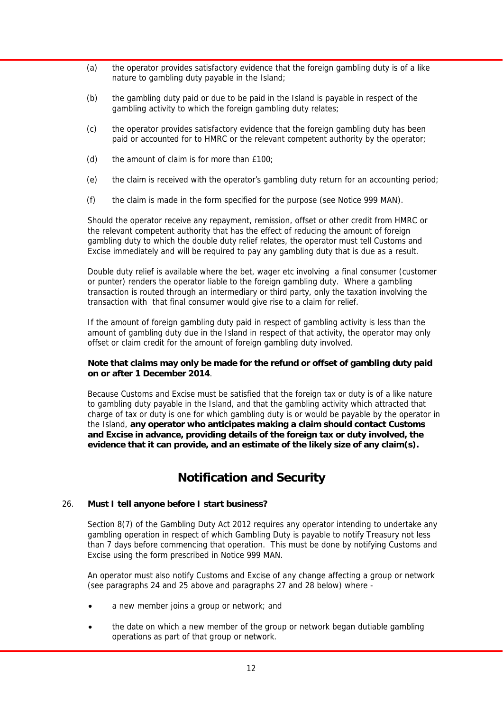- (a) the operator provides satisfactory evidence that the foreign gambling duty is of a like nature to gambling duty payable in the Island;
- (b) the gambling duty paid or due to be paid in the Island is payable in respect of the gambling activity to which the foreign gambling duty relates;
- (c) the operator provides satisfactory evidence that the foreign gambling duty has been paid or accounted for to HMRC or the relevant competent authority by the operator;
- (d) the amount of claim is for more than £100;
- (e) the claim is received with the operator's gambling duty return for an accounting period;
- (f) the claim is made in the form specified for the purpose (see Notice 999 MAN).

 Should the operator receive any repayment, remission, offset or other credit from HMRC or the relevant competent authority that has the effect of reducing the amount of foreign gambling duty to which the double duty relief relates, the operator must tell Customs and Excise immediately and will be required to pay any gambling duty that is due as a result.

 Double duty relief is available where the bet, wager etc involving a final consumer (customer or punter) renders the operator liable to the foreign gambling duty. Where a gambling transaction is routed through an intermediary or third party, only the taxation involving the transaction with that final consumer would give rise to a claim for relief.

 If the amount of foreign gambling duty paid in respect of gambling activity is less than the amount of gambling duty due in the Island in respect of that activity, the operator may only offset or claim credit for the amount of foreign gambling duty involved.

#### **Note that claims may only be made for the refund or offset of gambling duty paid on or after 1 December 2014**.

 Because Customs and Excise must be satisfied that the foreign tax or duty is of a like nature to gambling duty payable in the Island, and that the gambling activity which attracted that charge of tax or duty is one for which gambling duty is or would be payable by the operator in the Island, **any operator who anticipates making a claim should contact Customs and Excise in advance, providing details of the foreign tax or duty involved, the evidence that it can provide, and an estimate of the likely size of any claim(s).** 

### **Notification and Security**

#### 26. **Must I tell anyone before I start business?**

 Section 8(7) of the Gambling Duty Act 2012 requires any operator intending to undertake any gambling operation in respect of which Gambling Duty is payable to notify Treasury not less than 7 days before commencing that operation. This must be done by notifying Customs and Excise using the form prescribed in Notice 999 MAN.

 An operator must also notify Customs and Excise of any change affecting a group or network (see paragraphs 24 and 25 above and paragraphs 27 and 28 below) where -

- a new member joins a group or network; and
- the date on which a new member of the group or network began dutiable gambling operations as part of that group or network.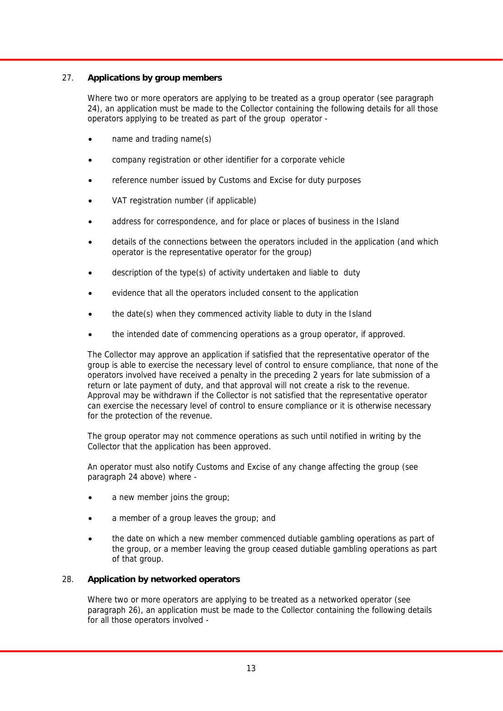#### 27. **Applications by group members**

 Where two or more operators are applying to be treated as a group operator (see paragraph 24), an application must be made to the Collector containing the following details for all those operators applying to be treated as part of the group operator -

- name and trading name(s)
- company registration or other identifier for a corporate vehicle
- reference number issued by Customs and Excise for duty purposes
- VAT registration number (if applicable)
- address for correspondence, and for place or places of business in the Island
- details of the connections between the operators included in the application (and which operator is the representative operator for the group)
- description of the type(s) of activity undertaken and liable to duty
- evidence that all the operators included consent to the application
- the date(s) when they commenced activity liable to duty in the Island
- the intended date of commencing operations as a group operator, if approved.

 The Collector may approve an application if satisfied that the representative operator of the group is able to exercise the necessary level of control to ensure compliance, that none of the operators involved have received a penalty in the preceding 2 years for late submission of a return or late payment of duty, and that approval will not create a risk to the revenue. Approval may be withdrawn if the Collector is not satisfied that the representative operator can exercise the necessary level of control to ensure compliance or it is otherwise necessary for the protection of the revenue.

 The group operator may not commence operations as such until notified in writing by the Collector that the application has been approved.

 An operator must also notify Customs and Excise of any change affecting the group (see paragraph 24 above) where -

- a new member joins the group;
- a member of a group leaves the group; and
- the date on which a new member commenced dutiable gambling operations as part of the group, or a member leaving the group ceased dutiable gambling operations as part of that group.

#### 28. **Application by networked operators**

 Where two or more operators are applying to be treated as a networked operator (see paragraph 26), an application must be made to the Collector containing the following details for all those operators involved -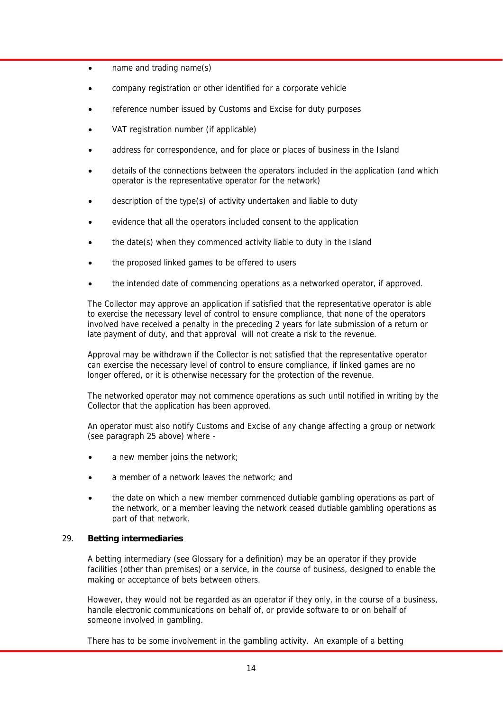- name and trading name(s)
- company registration or other identified for a corporate vehicle
- reference number issued by Customs and Excise for duty purposes
- VAT registration number (if applicable)
- address for correspondence, and for place or places of business in the Island
- details of the connections between the operators included in the application (and which operator is the representative operator for the network)
- description of the type(s) of activity undertaken and liable to duty
- evidence that all the operators included consent to the application
- the date(s) when they commenced activity liable to duty in the Island
- the proposed linked games to be offered to users
- the intended date of commencing operations as a networked operator, if approved.

 The Collector may approve an application if satisfied that the representative operator is able to exercise the necessary level of control to ensure compliance, that none of the operators involved have received a penalty in the preceding 2 years for late submission of a return or late payment of duty, and that approval will not create a risk to the revenue.

 Approval may be withdrawn if the Collector is not satisfied that the representative operator can exercise the necessary level of control to ensure compliance, if linked games are no longer offered, or it is otherwise necessary for the protection of the revenue.

 The networked operator may not commence operations as such until notified in writing by the Collector that the application has been approved.

 An operator must also notify Customs and Excise of any change affecting a group or network (see paragraph 25 above) where -

- a new member joins the network;
- a member of a network leaves the network; and
- the date on which a new member commenced dutiable gambling operations as part of the network, or a member leaving the network ceased dutiable gambling operations as part of that network.

#### 29. **Betting intermediaries**

 A betting intermediary (see Glossary for a definition) may be an operator if they provide facilities (other than premises) or a service, in the course of business, designed to enable the making or acceptance of bets between others.

 However, they would not be regarded as an operator if they only, in the course of a business, handle electronic communications on behalf of, or provide software to or on behalf of someone involved in gambling.

There has to be some involvement in the gambling activity. An example of a betting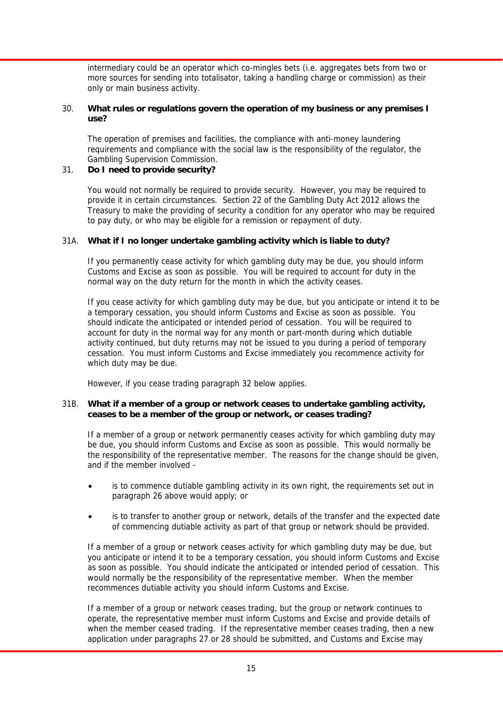intermediary could be an operator which co-mingles bets (i.e. aggregates bets from two or more sources for sending into totalisator, taking a handling charge or commission) as their only or main business activity.

#### 30. **What rules or regulations govern the operation of my business or any premises I use?**

 The operation of premises and facilities, the compliance with anti-money laundering requirements and compliance with the social law is the responsibility of the regulator, the Gambling Supervision Commission.

#### 31. **Do I need to provide security?**

 You would not normally be required to provide security. However, you may be required to provide it in certain circumstances. Section 22 of the Gambling Duty Act 2012 allows the Treasury to make the providing of security a condition for any operator who may be required to pay duty, or who may be eligible for a remission or repayment of duty.

#### 31A. **What if I no longer undertake gambling activity which is liable to duty?**

 If you permanently cease activity for which gambling duty may be due, you should inform Customs and Excise as soon as possible. You will be required to account for duty in the normal way on the duty return for the month in which the activity ceases.

 If you cease activity for which gambling duty may be due, but you anticipate or intend it to be a temporary cessation, you should inform Customs and Excise as soon as possible. You should indicate the anticipated or intended period of cessation. You will be required to account for duty in the normal way for any month or part-month during which dutiable activity continued, but duty returns may not be issued to you during a period of temporary cessation. You must inform Customs and Excise immediately you recommence activity for which duty may be due.

However, if you cease trading paragraph 32 below applies.

#### 31B. **What if a member of a group or network ceases to undertake gambling activity, ceases to be a member of the group or network, or ceases trading?**

 If a member of a group or network permanently ceases activity for which gambling duty may be due, you should inform Customs and Excise as soon as possible. This would normally be the responsibility of the representative member. The reasons for the change should be given, and if the member involved -

- is to commence dutiable gambling activity in its own right, the requirements set out in paragraph 26 above would apply; or
- is to transfer to another group or network, details of the transfer and the expected date of commencing dutiable activity as part of that group or network should be provided.

 If a member of a group or network ceases activity for which gambling duty may be due, but you anticipate or intend it to be a temporary cessation, you should inform Customs and Excise as soon as possible. You should indicate the anticipated or intended period of cessation. This would normally be the responsibility of the representative member. When the member recommences dutiable activity you should inform Customs and Excise.

 If a member of a group or network ceases trading, but the group or network continues to operate, the representative member must inform Customs and Excise and provide details of when the member ceased trading. If the representative member ceases trading, then a new application under paragraphs 27 or 28 should be submitted, and Customs and Excise may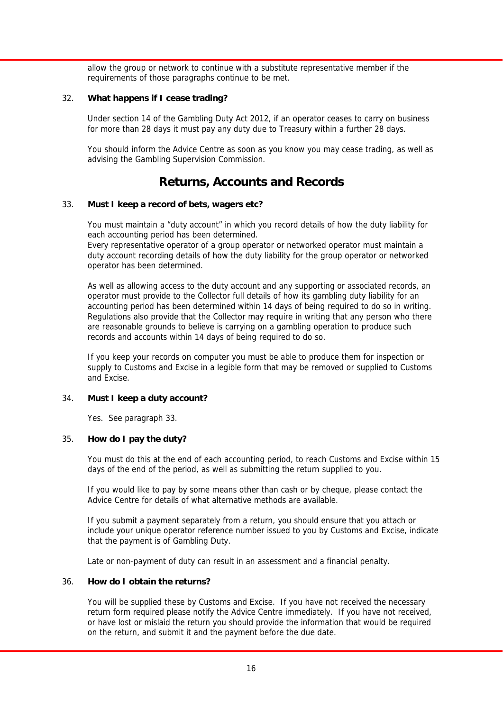allow the group or network to continue with a substitute representative member if the requirements of those paragraphs continue to be met.

#### 32. **What happens if I cease trading?**

 Under section 14 of the Gambling Duty Act 2012, if an operator ceases to carry on business for more than 28 days it must pay any duty due to Treasury within a further 28 days.

 You should inform the Advice Centre as soon as you know you may cease trading, as well as advising the Gambling Supervision Commission.

### **Returns, Accounts and Records**

#### 33. **Must I keep a record of bets, wagers etc?**

 You must maintain a "duty account" in which you record details of how the duty liability for each accounting period has been determined.

 Every representative operator of a group operator or networked operator must maintain a duty account recording details of how the duty liability for the group operator or networked operator has been determined.

 As well as allowing access to the duty account and any supporting or associated records, an operator must provide to the Collector full details of how its gambling duty liability for an accounting period has been determined within 14 days of being required to do so in writing. Regulations also provide that the Collector may require in writing that any person who there are reasonable grounds to believe is carrying on a gambling operation to produce such records and accounts within 14 days of being required to do so.

 If you keep your records on computer you must be able to produce them for inspection or supply to Customs and Excise in a legible form that may be removed or supplied to Customs and Excise.

#### 34. **Must I keep a duty account?**

Yes. See paragraph 33.

#### 35. **How do I pay the duty?**

 You must do this at the end of each accounting period, to reach Customs and Excise within 15 days of the end of the period, as well as submitting the return supplied to you.

 If you would like to pay by some means other than cash or by cheque, please contact the Advice Centre for details of what alternative methods are available.

 If you submit a payment separately from a return, you should ensure that you attach or include your unique operator reference number issued to you by Customs and Excise, indicate that the payment is of Gambling Duty.

Late or non-payment of duty can result in an assessment and a financial penalty.

#### 36. **How do I obtain the returns?**

 You will be supplied these by Customs and Excise. If you have not received the necessary return form required please notify the Advice Centre immediately. If you have not received, or have lost or mislaid the return you should provide the information that would be required on the return, and submit it and the payment before the due date.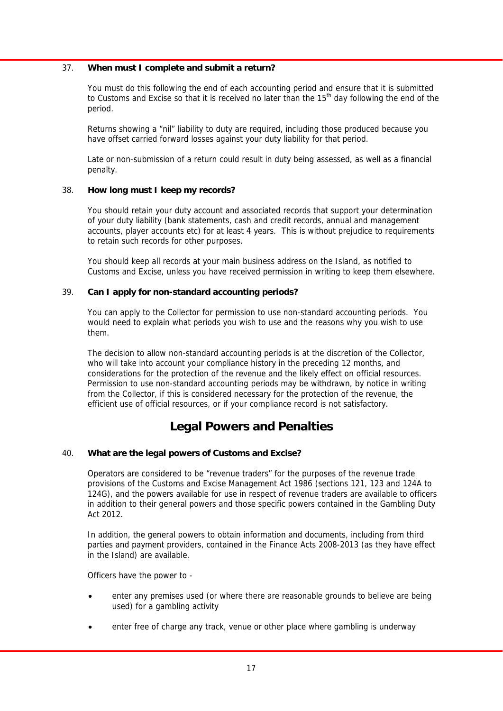#### 37. **When must I complete and submit a return?**

 You must do this following the end of each accounting period and ensure that it is submitted to Customs and Excise so that it is received no later than the  $15<sup>th</sup>$  day following the end of the period.

 Returns showing a "nil" liability to duty are required, including those produced because you have offset carried forward losses against your duty liability for that period.

 Late or non-submission of a return could result in duty being assessed, as well as a financial penalty.

#### 38. **How long must I keep my records?**

 You should retain your duty account and associated records that support your determination of your duty liability (bank statements, cash and credit records, annual and management accounts, player accounts etc) for at least 4 years. This is without prejudice to requirements to retain such records for other purposes.

 You should keep all records at your main business address on the Island, as notified to Customs and Excise, unless you have received permission in writing to keep them elsewhere.

#### 39. **Can I apply for non-standard accounting periods?**

 You can apply to the Collector for permission to use non-standard accounting periods. You would need to explain what periods you wish to use and the reasons why you wish to use them.

 The decision to allow non-standard accounting periods is at the discretion of the Collector, who will take into account your compliance history in the preceding 12 months, and considerations for the protection of the revenue and the likely effect on official resources. Permission to use non-standard accounting periods may be withdrawn, by notice in writing from the Collector, if this is considered necessary for the protection of the revenue, the efficient use of official resources, or if your compliance record is not satisfactory.

### **Legal Powers and Penalties**

#### 40. **What are the legal powers of Customs and Excise?**

 Operators are considered to be "revenue traders" for the purposes of the revenue trade provisions of the Customs and Excise Management Act 1986 (sections 121, 123 and 124A to 124G), and the powers available for use in respect of revenue traders are available to officers in addition to their general powers and those specific powers contained in the Gambling Duty Act 2012.

 In addition, the general powers to obtain information and documents, including from third parties and payment providers, contained in the Finance Acts 2008-2013 (as they have effect in the Island) are available.

Officers have the power to -

- enter any premises used (or where there are reasonable grounds to believe are being used) for a gambling activity
- enter free of charge any track, venue or other place where gambling is underway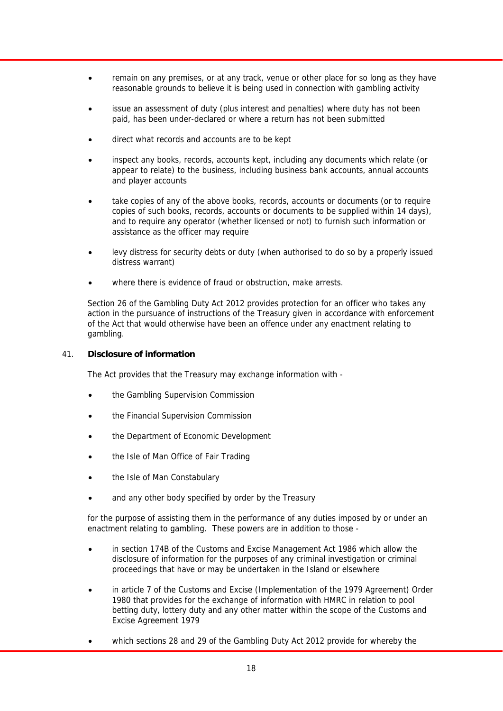- remain on any premises, or at any track, venue or other place for so long as they have reasonable grounds to believe it is being used in connection with gambling activity
- issue an assessment of duty (plus interest and penalties) where duty has not been paid, has been under-declared or where a return has not been submitted
- direct what records and accounts are to be kept
- inspect any books, records, accounts kept, including any documents which relate (or appear to relate) to the business, including business bank accounts, annual accounts and player accounts
- take copies of any of the above books, records, accounts or documents (or to require copies of such books, records, accounts or documents to be supplied within 14 days), and to require any operator (whether licensed or not) to furnish such information or assistance as the officer may require
- levy distress for security debts or duty (when authorised to do so by a properly issued distress warrant)
- where there is evidence of fraud or obstruction, make arrests.

 Section 26 of the Gambling Duty Act 2012 provides protection for an officer who takes any action in the pursuance of instructions of the Treasury given in accordance with enforcement of the Act that would otherwise have been an offence under any enactment relating to gambling.

#### 41. **Disclosure of information**

The Act provides that the Treasury may exchange information with -

- the Gambling Supervision Commission
- the Financial Supervision Commission
- the Department of Economic Development
- the Isle of Man Office of Fair Trading
- the Isle of Man Constabulary
- and any other body specified by order by the Treasury

 for the purpose of assisting them in the performance of any duties imposed by or under an enactment relating to gambling. These powers are in addition to those -

- in section 174B of the Customs and Excise Management Act 1986 which allow the disclosure of information for the purposes of any criminal investigation or criminal proceedings that have or may be undertaken in the Island or elsewhere
- in article 7 of the Customs and Excise (Implementation of the 1979 Agreement) Order 1980 that provides for the exchange of information with HMRC in relation to pool betting duty, lottery duty and any other matter within the scope of the Customs and Excise Agreement 1979
- which sections 28 and 29 of the Gambling Duty Act 2012 provide for whereby the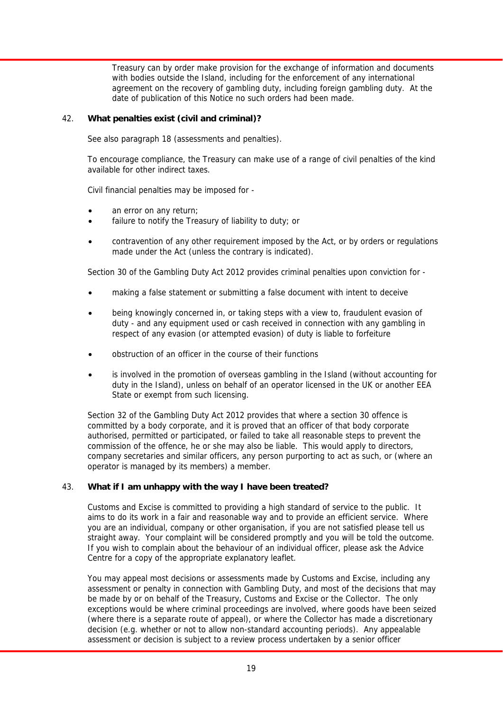Treasury can by order make provision for the exchange of information and documents with bodies outside the Island, including for the enforcement of any international agreement on the recovery of gambling duty, including foreign gambling duty. At the date of publication of this Notice no such orders had been made.

#### 42. **What penalties exist (civil and criminal)?**

See also paragraph 18 (assessments and penalties).

 To encourage compliance, the Treasury can make use of a range of civil penalties of the kind available for other indirect taxes.

Civil financial penalties may be imposed for -

- an error on any return;
- failure to notify the Treasury of liability to duty; or
- contravention of any other requirement imposed by the Act, or by orders or regulations made under the Act (unless the contrary is indicated).

Section 30 of the Gambling Duty Act 2012 provides criminal penalties upon conviction for -

- making a false statement or submitting a false document with intent to deceive
- being knowingly concerned in, or taking steps with a view to, fraudulent evasion of duty - and any equipment used or cash received in connection with any gambling in respect of any evasion (or attempted evasion) of duty is liable to forfeiture
- obstruction of an officer in the course of their functions
- is involved in the promotion of overseas gambling in the Island (without accounting for duty in the Island), unless on behalf of an operator licensed in the UK or another EEA State or exempt from such licensing.

 Section 32 of the Gambling Duty Act 2012 provides that where a section 30 offence is committed by a body corporate, and it is proved that an officer of that body corporate authorised, permitted or participated, or failed to take all reasonable steps to prevent the commission of the offence, he or she may also be liable. This would apply to directors, company secretaries and similar officers, any person purporting to act as such, or (where an operator is managed by its members) a member.

#### 43. **What if I am unhappy with the way I have been treated?**

 Customs and Excise is committed to providing a high standard of service to the public. It aims to do its work in a fair and reasonable way and to provide an efficient service. Where you are an individual, company or other organisation, if you are not satisfied please tell us straight away. Your complaint will be considered promptly and you will be told the outcome. If you wish to complain about the behaviour of an individual officer, please ask the Advice Centre for a copy of the appropriate explanatory leaflet.

 You may appeal most decisions or assessments made by Customs and Excise, including any assessment or penalty in connection with Gambling Duty, and most of the decisions that may be made by or on behalf of the Treasury, Customs and Excise or the Collector. The only exceptions would be where criminal proceedings are involved, where goods have been seized (where there is a separate route of appeal), or where the Collector has made a discretionary decision (e.g. whether or not to allow non-standard accounting periods). Any appealable assessment or decision is subject to a review process undertaken by a senior officer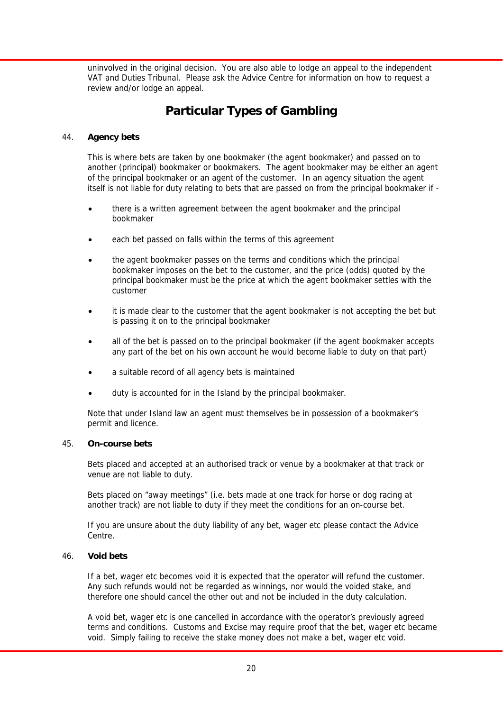uninvolved in the original decision. You are also able to lodge an appeal to the independent VAT and Duties Tribunal. Please ask the Advice Centre for information on how to request a review and/or lodge an appeal.

### **Particular Types of Gambling**

#### 44. **Agency bets**

 This is where bets are taken by one bookmaker (the agent bookmaker) and passed on to another (principal) bookmaker or bookmakers. The agent bookmaker may be either an agent of the principal bookmaker or an agent of the customer. In an agency situation the agent itself is not liable for duty relating to bets that are passed on from the principal bookmaker if -

- there is a written agreement between the agent bookmaker and the principal bookmaker
- each bet passed on falls within the terms of this agreement
- the agent bookmaker passes on the terms and conditions which the principal bookmaker imposes on the bet to the customer, and the price (odds) quoted by the principal bookmaker must be the price at which the agent bookmaker settles with the customer
- it is made clear to the customer that the agent bookmaker is not accepting the bet but is passing it on to the principal bookmaker
- all of the bet is passed on to the principal bookmaker (if the agent bookmaker accepts any part of the bet on his own account he would become liable to duty on that part)
- a suitable record of all agency bets is maintained
- duty is accounted for in the Island by the principal bookmaker.

 Note that under Island law an agent must themselves be in possession of a bookmaker's permit and licence.

#### 45. **On-course bets**

 Bets placed and accepted at an authorised track or venue by a bookmaker at that track or venue are not liable to duty.

 Bets placed on "away meetings" (i.e. bets made at one track for horse or dog racing at another track) are not liable to duty if they meet the conditions for an on-course bet.

 If you are unsure about the duty liability of any bet, wager etc please contact the Advice Centre.

#### 46. **Void bets**

 If a bet, wager etc becomes void it is expected that the operator will refund the customer. Any such refunds would not be regarded as winnings, nor would the voided stake, and therefore one should cancel the other out and not be included in the duty calculation.

 A void bet, wager etc is one cancelled in accordance with the operator's previously agreed terms and conditions. Customs and Excise may require proof that the bet, wager etc became void. Simply failing to receive the stake money does not make a bet, wager etc void.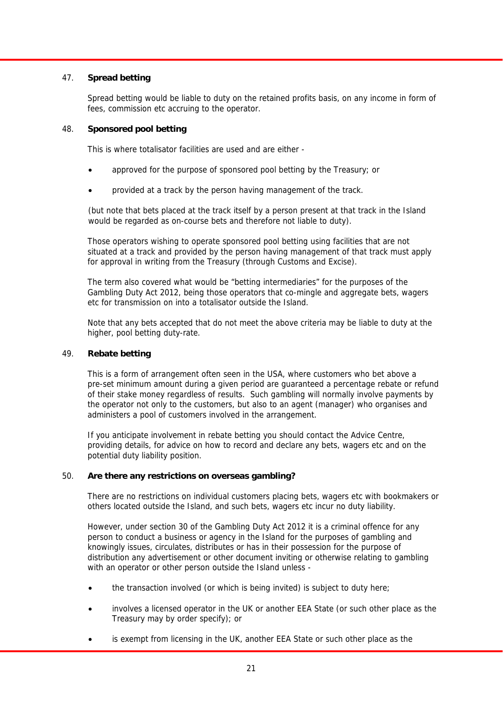#### 47. **Spread betting**

 Spread betting would be liable to duty on the retained profits basis, on any income in form of fees, commission etc accruing to the operator.

#### 48. **Sponsored pool betting**

This is where totalisator facilities are used and are either -

- approved for the purpose of sponsored pool betting by the Treasury; or
- provided at a track by the person having management of the track.

(but note that bets placed at the track itself by a person present at that track in the Island would be regarded as on-course bets and therefore not liable to duty).

 Those operators wishing to operate sponsored pool betting using facilities that are not situated at a track and provided by the person having management of that track must apply for approval in writing from the Treasury (through Customs and Excise).

 The term also covered what would be "betting intermediaries" for the purposes of the Gambling Duty Act 2012, being those operators that co-mingle and aggregate bets, wagers etc for transmission on into a totalisator outside the Island.

 Note that any bets accepted that do not meet the above criteria may be liable to duty at the higher, pool betting duty-rate.

#### 49. **Rebate betting**

 This is a form of arrangement often seen in the USA, where customers who bet above a pre-set minimum amount during a given period are guaranteed a percentage rebate or refund of their stake money regardless of results. Such gambling will normally involve payments by the operator not only to the customers, but also to an agent (manager) who organises and administers a pool of customers involved in the arrangement.

 If you anticipate involvement in rebate betting you should contact the Advice Centre, providing details, for advice on how to record and declare any bets, wagers etc and on the potential duty liability position.

#### 50. **Are there any restrictions on overseas gambling?**

 There are no restrictions on individual customers placing bets, wagers etc with bookmakers or others located outside the Island, and such bets, wagers etc incur no duty liability.

 However, under section 30 of the Gambling Duty Act 2012 it is a criminal offence for any person to conduct a business or agency in the Island for the purposes of gambling and knowingly issues, circulates, distributes or has in their possession for the purpose of distribution any advertisement or other document inviting or otherwise relating to gambling with an operator or other person outside the Island unless -

- the transaction involved (or which is being invited) is subject to duty here;
- involves a licensed operator in the UK or another EEA State (or such other place as the Treasury may by order specify); or
- is exempt from licensing in the UK, another EEA State or such other place as the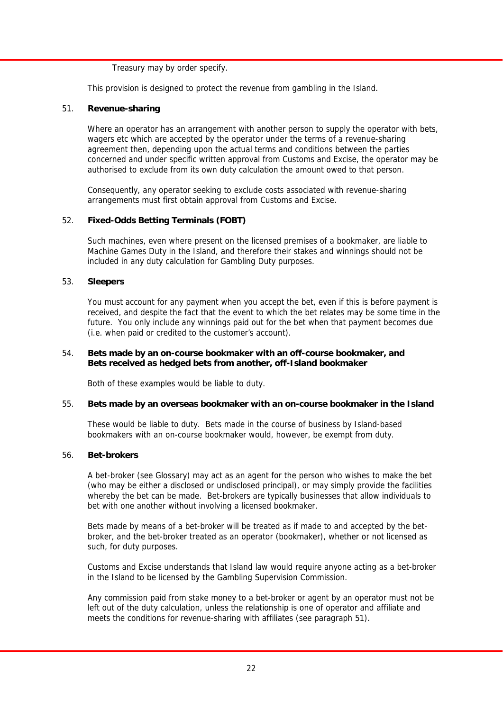Treasury may by order specify.

This provision is designed to protect the revenue from gambling in the Island.

#### 51. **Revenue-sharing**

 Where an operator has an arrangement with another person to supply the operator with bets, wagers etc which are accepted by the operator under the terms of a revenue-sharing agreement then, depending upon the actual terms and conditions between the parties concerned and under specific written approval from Customs and Excise, the operator may be authorised to exclude from its own duty calculation the amount owed to that person.

 Consequently, any operator seeking to exclude costs associated with revenue-sharing arrangements must first obtain approval from Customs and Excise.

#### 52. **Fixed-Odds Betting Terminals (FOBT)**

 Such machines, even where present on the licensed premises of a bookmaker, are liable to Machine Games Duty in the Island, and therefore their stakes and winnings should not be included in any duty calculation for Gambling Duty purposes.

#### 53. **Sleepers**

 You must account for any payment when you accept the bet, even if this is before payment is received, and despite the fact that the event to which the bet relates may be some time in the future. You only include any winnings paid out for the bet when that payment becomes due (i.e. when paid or credited to the customer's account).

#### 54. **Bets made by an on-course bookmaker with an off-course bookmaker, and Bets received as hedged bets from another, off-Island bookmaker**

Both of these examples would be liable to duty.

#### 55. **Bets made by an overseas bookmaker with an on-course bookmaker in the Island**

 These would be liable to duty. Bets made in the course of business by Island-based bookmakers with an on-course bookmaker would, however, be exempt from duty.

#### 56. **Bet-brokers**

 A bet-broker (see Glossary) may act as an agent for the person who wishes to make the bet (who may be either a disclosed or undisclosed principal), or may simply provide the facilities whereby the bet can be made. Bet-brokers are typically businesses that allow individuals to bet with one another without involving a licensed bookmaker.

 Bets made by means of a bet-broker will be treated as if made to and accepted by the betbroker, and the bet-broker treated as an operator (bookmaker), whether or not licensed as such, for duty purposes.

 Customs and Excise understands that Island law would require anyone acting as a bet-broker in the Island to be licensed by the Gambling Supervision Commission.

 Any commission paid from stake money to a bet-broker or agent by an operator must not be left out of the duty calculation, unless the relationship is one of operator and affiliate and meets the conditions for revenue-sharing with affiliates (see paragraph 51).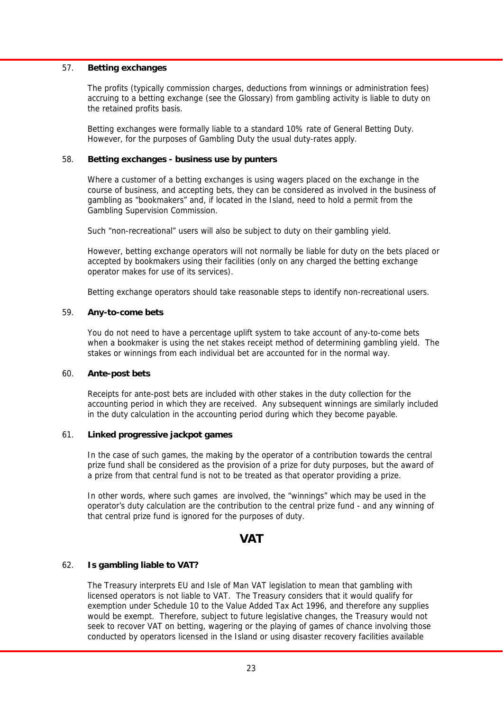#### 57. **Betting exchanges**

 The profits (typically commission charges, deductions from winnings or administration fees) accruing to a betting exchange (see the Glossary) from gambling activity is liable to duty on the retained profits basis.

 Betting exchanges were formally liable to a standard 10% rate of General Betting Duty. However, for the purposes of Gambling Duty the usual duty-rates apply.

#### 58. **Betting exchanges - business use by punters**

 Where a customer of a betting exchanges is using wagers placed on the exchange in the course of business, and accepting bets, they can be considered as involved in the business of gambling as "bookmakers" and, if located in the Island, need to hold a permit from the Gambling Supervision Commission.

Such "non-recreational" users will also be subject to duty on their gambling yield.

 However, betting exchange operators will not normally be liable for duty on the bets placed or accepted by bookmakers using their facilities (only on any charged the betting exchange operator makes for use of its services).

Betting exchange operators should take reasonable steps to identify non-recreational users.

#### 59. **Any-to-come bets**

 You do not need to have a percentage uplift system to take account of any-to-come bets when a bookmaker is using the net stakes receipt method of determining gambling yield. The stakes or winnings from each individual bet are accounted for in the normal way.

#### 60. **Ante-post bets**

 Receipts for ante-post bets are included with other stakes in the duty collection for the accounting period in which they are received. Any subsequent winnings are similarly included in the duty calculation in the accounting period during which they become payable.

#### 61. **Linked progressive jackpot games**

 In the case of such games, the making by the operator of a contribution towards the central prize fund shall be considered as the provision of a prize for duty purposes, but the award of a prize from that central fund is not to be treated as that operator providing a prize.

 In other words, where such games are involved, the "winnings" which may be used in the operator's duty calculation are the contribution to the central prize fund - and any winning of that central prize fund is ignored for the purposes of duty.

#### **VAT**

#### 62. **Is gambling liable to VAT?**

 The Treasury interprets EU and Isle of Man VAT legislation to mean that gambling with licensed operators is not liable to VAT. The Treasury considers that it would qualify for exemption under Schedule 10 to the Value Added Tax Act 1996, and therefore any supplies would be exempt. Therefore, subject to future legislative changes, the Treasury would not seek to recover VAT on betting, wagering or the playing of games of chance involving those conducted by operators licensed in the Island or using disaster recovery facilities available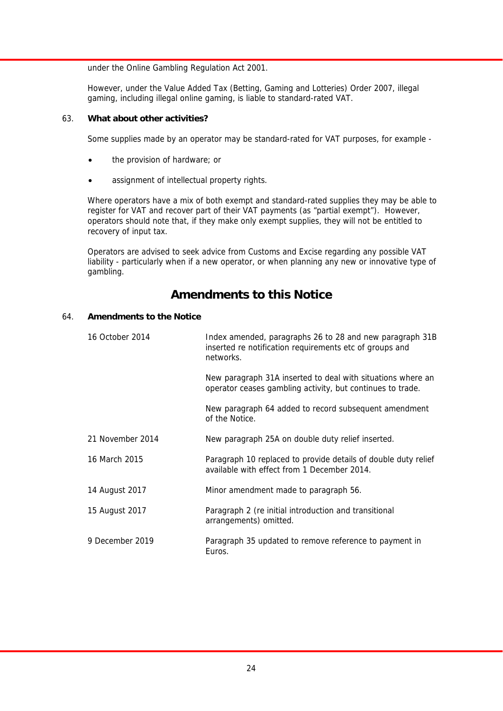under the Online Gambling Regulation Act 2001.

 However, under the Value Added Tax (Betting, Gaming and Lotteries) Order 2007, illegal gaming, including illegal online gaming, is liable to standard-rated VAT.

#### 63. **What about other activities?**

Some supplies made by an operator may be standard-rated for VAT purposes, for example -

- the provision of hardware; or
- assignment of intellectual property rights.

 Where operators have a mix of both exempt and standard-rated supplies they may be able to register for VAT and recover part of their VAT payments (as "partial exempt"). However, operators should note that, if they make only exempt supplies, they will not be entitled to recovery of input tax.

 Operators are advised to seek advice from Customs and Excise regarding any possible VAT liability - particularly when if a new operator, or when planning any new or innovative type of gambling.

### **Amendments to this Notice**

#### 64. **Amendments to the Notice**

| 16 October 2014  | Index amended, paragraphs 26 to 28 and new paragraph 31B<br>inserted re notification requirements etc of groups and<br>networks. |
|------------------|----------------------------------------------------------------------------------------------------------------------------------|
|                  | New paragraph 31A inserted to deal with situations where an<br>operator ceases gambling activity, but continues to trade.        |
|                  | New paragraph 64 added to record subsequent amendment<br>of the Notice.                                                          |
| 21 November 2014 | New paragraph 25A on double duty relief inserted.                                                                                |
| 16 March 2015    | Paragraph 10 replaced to provide details of double duty relief<br>available with effect from 1 December 2014.                    |
| 14 August 2017   | Minor amendment made to paragraph 56.                                                                                            |
| 15 August 2017   | Paragraph 2 (re initial introduction and transitional<br>arrangements) omitted.                                                  |
| 9 December 2019  | Paragraph 35 updated to remove reference to payment in<br>Euros.                                                                 |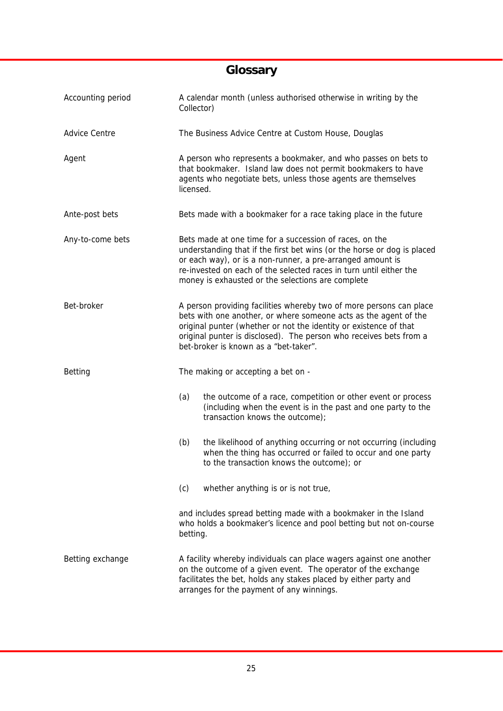## **Glossary**

| Accounting period    | A calendar month (unless authorised otherwise in writing by the<br>Collector)                                                                                                                                                                                                                                               |  |
|----------------------|-----------------------------------------------------------------------------------------------------------------------------------------------------------------------------------------------------------------------------------------------------------------------------------------------------------------------------|--|
| <b>Advice Centre</b> | The Business Advice Centre at Custom House, Douglas                                                                                                                                                                                                                                                                         |  |
| Agent                | A person who represents a bookmaker, and who passes on bets to<br>that bookmaker. Island law does not permit bookmakers to have<br>agents who negotiate bets, unless those agents are themselves<br>licensed.                                                                                                               |  |
| Ante-post bets       | Bets made with a bookmaker for a race taking place in the future                                                                                                                                                                                                                                                            |  |
| Any-to-come bets     | Bets made at one time for a succession of races, on the<br>understanding that if the first bet wins (or the horse or dog is placed<br>or each way), or is a non-runner, a pre-arranged amount is<br>re-invested on each of the selected races in turn until either the<br>money is exhausted or the selections are complete |  |
| Bet-broker           | A person providing facilities whereby two of more persons can place<br>bets with one another, or where someone acts as the agent of the<br>original punter (whether or not the identity or existence of that<br>original punter is disclosed). The person who receives bets from a<br>bet-broker is known as a "bet-taker". |  |
| Betting              | The making or accepting a bet on -                                                                                                                                                                                                                                                                                          |  |
|                      | (a)<br>the outcome of a race, competition or other event or process<br>(including when the event is in the past and one party to the<br>transaction knows the outcome);                                                                                                                                                     |  |
|                      | the likelihood of anything occurring or not occurring (including<br>(b)<br>when the thing has occurred or failed to occur and one party<br>to the transaction knows the outcome); or                                                                                                                                        |  |
|                      | (c)<br>whether anything is or is not true,                                                                                                                                                                                                                                                                                  |  |
|                      | and includes spread betting made with a bookmaker in the Island<br>who holds a bookmaker's licence and pool betting but not on-course<br>betting.                                                                                                                                                                           |  |
| Betting exchange     | A facility whereby individuals can place wagers against one another<br>on the outcome of a given event. The operator of the exchange<br>facilitates the bet, holds any stakes placed by either party and<br>arranges for the payment of any winnings.                                                                       |  |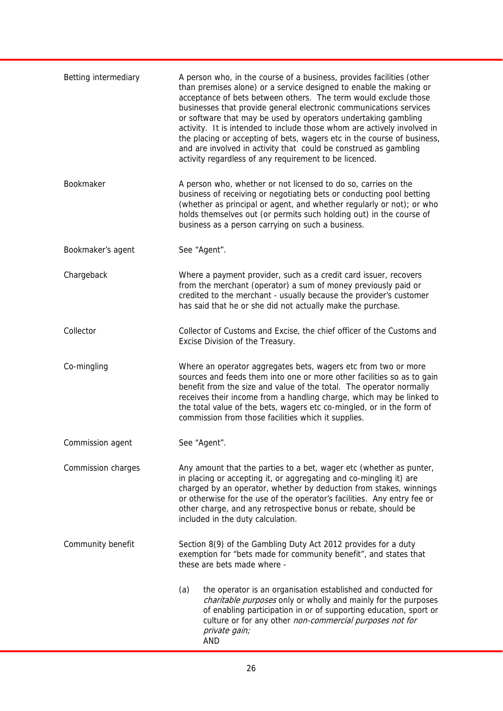| Betting intermediary | A person who, in the course of a business, provides facilities (other<br>than premises alone) or a service designed to enable the making or<br>acceptance of bets between others. The term would exclude those<br>businesses that provide general electronic communications services<br>or software that may be used by operators undertaking gambling<br>activity. It is intended to include those whom are actively involved in<br>the placing or accepting of bets, wagers etc in the course of business,<br>and are involved in activity that could be construed as gambling<br>activity regardless of any requirement to be licenced. |
|----------------------|--------------------------------------------------------------------------------------------------------------------------------------------------------------------------------------------------------------------------------------------------------------------------------------------------------------------------------------------------------------------------------------------------------------------------------------------------------------------------------------------------------------------------------------------------------------------------------------------------------------------------------------------|
| Bookmaker            | A person who, whether or not licensed to do so, carries on the<br>business of receiving or negotiating bets or conducting pool betting<br>(whether as principal or agent, and whether regularly or not); or who<br>holds themselves out (or permits such holding out) in the course of<br>business as a person carrying on such a business.                                                                                                                                                                                                                                                                                                |
| Bookmaker's agent    | See "Agent".                                                                                                                                                                                                                                                                                                                                                                                                                                                                                                                                                                                                                               |
| Chargeback           | Where a payment provider, such as a credit card issuer, recovers<br>from the merchant (operator) a sum of money previously paid or<br>credited to the merchant - usually because the provider's customer<br>has said that he or she did not actually make the purchase.                                                                                                                                                                                                                                                                                                                                                                    |
| Collector            | Collector of Customs and Excise, the chief officer of the Customs and<br>Excise Division of the Treasury.                                                                                                                                                                                                                                                                                                                                                                                                                                                                                                                                  |
| Co-mingling          | Where an operator aggregates bets, wagers etc from two or more<br>sources and feeds them into one or more other facilities so as to gain<br>benefit from the size and value of the total. The operator normally<br>receives their income from a handling charge, which may be linked to<br>the total value of the bets, wagers etc co-mingled, or in the form of<br>commission from those facilities which it supplies.                                                                                                                                                                                                                    |
| Commission agent     | See "Agent".                                                                                                                                                                                                                                                                                                                                                                                                                                                                                                                                                                                                                               |
| Commission charges   | Any amount that the parties to a bet, wager etc (whether as punter,<br>in placing or accepting it, or aggregating and co-mingling it) are<br>charged by an operator, whether by deduction from stakes, winnings<br>or otherwise for the use of the operator's facilities. Any entry fee or<br>other charge, and any retrospective bonus or rebate, should be<br>included in the duty calculation.                                                                                                                                                                                                                                          |
| Community benefit    | Section 8(9) of the Gambling Duty Act 2012 provides for a duty<br>exemption for "bets made for community benefit", and states that<br>these are bets made where -                                                                                                                                                                                                                                                                                                                                                                                                                                                                          |
|                      | the operator is an organisation established and conducted for<br>(a)<br>charitable purposes only or wholly and mainly for the purposes<br>of enabling participation in or of supporting education, sport or<br>culture or for any other non-commercial purposes not for<br>private gain;<br><b>AND</b>                                                                                                                                                                                                                                                                                                                                     |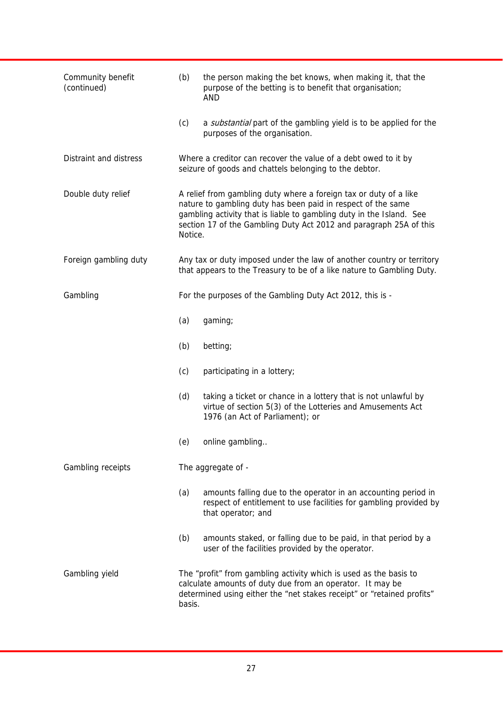| Community benefit<br>(continued) | (b)                | the person making the bet knows, when making it, that the<br>purpose of the betting is to benefit that organisation;<br>AND                                                                                                                                                     |  |
|----------------------------------|--------------------|---------------------------------------------------------------------------------------------------------------------------------------------------------------------------------------------------------------------------------------------------------------------------------|--|
|                                  | (c)                | a substantial part of the gambling yield is to be applied for the<br>purposes of the organisation.                                                                                                                                                                              |  |
| Distraint and distress           |                    | Where a creditor can recover the value of a debt owed to it by<br>seizure of goods and chattels belonging to the debtor.                                                                                                                                                        |  |
| Double duty relief               | Notice.            | A relief from gambling duty where a foreign tax or duty of a like<br>nature to gambling duty has been paid in respect of the same<br>gambling activity that is liable to gambling duty in the Island. See<br>section 17 of the Gambling Duty Act 2012 and paragraph 25A of this |  |
| Foreign gambling duty            |                    | Any tax or duty imposed under the law of another country or territory<br>that appears to the Treasury to be of a like nature to Gambling Duty.                                                                                                                                  |  |
| Gambling                         |                    | For the purposes of the Gambling Duty Act 2012, this is -                                                                                                                                                                                                                       |  |
|                                  | (a)                | gaming;                                                                                                                                                                                                                                                                         |  |
|                                  | (b)                | betting;                                                                                                                                                                                                                                                                        |  |
|                                  | (c)                | participating in a lottery;                                                                                                                                                                                                                                                     |  |
|                                  | (d)                | taking a ticket or chance in a lottery that is not unlawful by<br>virtue of section 5(3) of the Lotteries and Amusements Act<br>1976 (an Act of Parliament); or                                                                                                                 |  |
|                                  | (e)                | online gambling                                                                                                                                                                                                                                                                 |  |
| Gambling receipts                | The aggregate of - |                                                                                                                                                                                                                                                                                 |  |
|                                  | (a)                | amounts falling due to the operator in an accounting period in<br>respect of entitlement to use facilities for gambling provided by<br>that operator; and                                                                                                                       |  |
|                                  | (b)                | amounts staked, or falling due to be paid, in that period by a<br>user of the facilities provided by the operator.                                                                                                                                                              |  |
| Gambling yield                   | basis.             | The "profit" from gambling activity which is used as the basis to<br>calculate amounts of duty due from an operator. It may be<br>determined using either the "net stakes receipt" or "retained profits"                                                                        |  |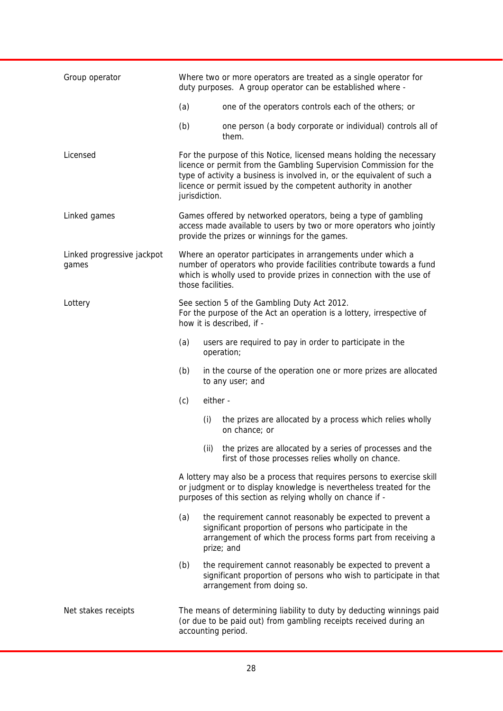| Group operator                      | Where two or more operators are treated as a single operator for<br>duty purposes. A group operator can be established where -                                                                                                                                                                           |
|-------------------------------------|----------------------------------------------------------------------------------------------------------------------------------------------------------------------------------------------------------------------------------------------------------------------------------------------------------|
|                                     | (a)<br>one of the operators controls each of the others; or                                                                                                                                                                                                                                              |
|                                     | (b)<br>one person (a body corporate or individual) controls all of<br>them.                                                                                                                                                                                                                              |
| Licensed                            | For the purpose of this Notice, licensed means holding the necessary<br>licence or permit from the Gambling Supervision Commission for the<br>type of activity a business is involved in, or the equivalent of such a<br>licence or permit issued by the competent authority in another<br>jurisdiction. |
| Linked games                        | Games offered by networked operators, being a type of gambling<br>access made available to users by two or more operators who jointly<br>provide the prizes or winnings for the games.                                                                                                                   |
| Linked progressive jackpot<br>games | Where an operator participates in arrangements under which a<br>number of operators who provide facilities contribute towards a fund<br>which is wholly used to provide prizes in connection with the use of<br>those facilities.                                                                        |
| Lottery                             | See section 5 of the Gambling Duty Act 2012.<br>For the purpose of the Act an operation is a lottery, irrespective of<br>how it is described, if -                                                                                                                                                       |
|                                     | (a)<br>users are required to pay in order to participate in the<br>operation;                                                                                                                                                                                                                            |
|                                     | (b)<br>in the course of the operation one or more prizes are allocated<br>to any user; and                                                                                                                                                                                                               |
|                                     | (c)<br>either -                                                                                                                                                                                                                                                                                          |
|                                     | (i)<br>the prizes are allocated by a process which relies wholly<br>on chance; or                                                                                                                                                                                                                        |
|                                     | (ii) the prizes are allocated by a series of processes and the<br>first of those processes relies wholly on chance.                                                                                                                                                                                      |
|                                     | A lottery may also be a process that requires persons to exercise skill<br>or judgment or to display knowledge is nevertheless treated for the<br>purposes of this section as relying wholly on chance if -                                                                                              |
|                                     | (a)<br>the requirement cannot reasonably be expected to prevent a<br>significant proportion of persons who participate in the<br>arrangement of which the process forms part from receiving a<br>prize; and                                                                                              |
|                                     | (b)<br>the requirement cannot reasonably be expected to prevent a<br>significant proportion of persons who wish to participate in that<br>arrangement from doing so.                                                                                                                                     |
| Net stakes receipts                 | The means of determining liability to duty by deducting winnings paid<br>(or due to be paid out) from gambling receipts received during an<br>accounting period.                                                                                                                                         |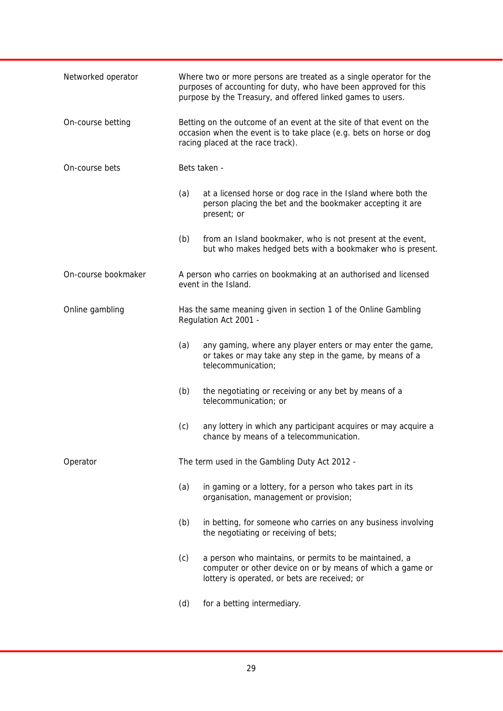| Networked operator  |     | Where two or more persons are treated as a single operator for the<br>purposes of accounting for duty, who have been approved for this<br>purpose by the Treasury, and offered linked games to users. |
|---------------------|-----|-------------------------------------------------------------------------------------------------------------------------------------------------------------------------------------------------------|
| On-course betting   |     | Betting on the outcome of an event at the site of that event on the<br>occasion when the event is to take place (e.g. bets on horse or dog<br>racing placed at the race track).                       |
| On-course bets      |     | Bets taken -                                                                                                                                                                                          |
|                     | (a) | at a licensed horse or dog race in the Island where both the<br>person placing the bet and the bookmaker accepting it are<br>present; or                                                              |
|                     | (b) | from an Island bookmaker, who is not present at the event,<br>but who makes hedged bets with a bookmaker who is present.                                                                              |
| On-course bookmaker |     | A person who carries on bookmaking at an authorised and licensed<br>event in the Island.                                                                                                              |
| Online gambling     |     | Has the same meaning given in section 1 of the Online Gambling<br>Regulation Act 2001 -                                                                                                               |
|                     | (a) | any gaming, where any player enters or may enter the game,<br>or takes or may take any step in the game, by means of a<br>telecommunication;                                                          |
|                     | (b) | the negotiating or receiving or any bet by means of a<br>telecommunication; or                                                                                                                        |
|                     | (c) | any lottery in which any participant acquires or may acquire a<br>chance by means of a telecommunication.                                                                                             |
| Operator            |     | The term used in the Gambling Duty Act 2012 -                                                                                                                                                         |
|                     | (a) | in gaming or a lottery, for a person who takes part in its<br>organisation, management or provision;                                                                                                  |
|                     | (b) | in betting, for someone who carries on any business involving<br>the negotiating or receiving of bets;                                                                                                |
|                     | (c) | a person who maintains, or permits to be maintained, a<br>computer or other device on or by means of which a game or<br>lottery is operated, or bets are received; or                                 |
|                     | (d) | for a betting intermediary.                                                                                                                                                                           |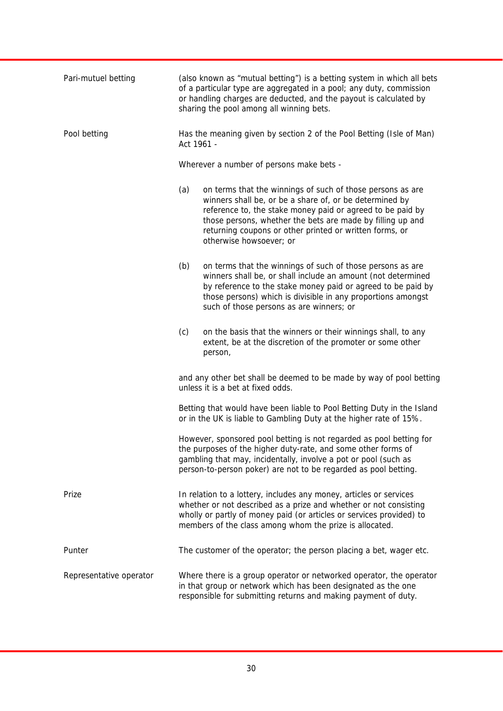| Pari-mutuel betting     | (also known as "mutual betting") is a betting system in which all bets<br>of a particular type are aggregated in a pool; any duty, commission<br>or handling charges are deducted, and the payout is calculated by<br>sharing the pool among all winning bets.                                                                                 |
|-------------------------|------------------------------------------------------------------------------------------------------------------------------------------------------------------------------------------------------------------------------------------------------------------------------------------------------------------------------------------------|
| Pool betting            | Has the meaning given by section 2 of the Pool Betting (Isle of Man)<br>Act 1961 -                                                                                                                                                                                                                                                             |
|                         | Wherever a number of persons make bets -                                                                                                                                                                                                                                                                                                       |
|                         | (a)<br>on terms that the winnings of such of those persons as are<br>winners shall be, or be a share of, or be determined by<br>reference to, the stake money paid or agreed to be paid by<br>those persons, whether the bets are made by filling up and<br>returning coupons or other printed or written forms, or<br>otherwise howsoever; or |
|                         | (b)<br>on terms that the winnings of such of those persons as are<br>winners shall be, or shall include an amount (not determined<br>by reference to the stake money paid or agreed to be paid by<br>those persons) which is divisible in any proportions amongst<br>such of those persons as are winners; or                                  |
|                         | (c)<br>on the basis that the winners or their winnings shall, to any<br>extent, be at the discretion of the promoter or some other<br>person,                                                                                                                                                                                                  |
|                         | and any other bet shall be deemed to be made by way of pool betting<br>unless it is a bet at fixed odds.                                                                                                                                                                                                                                       |
|                         | Betting that would have been liable to Pool Betting Duty in the Island<br>or in the UK is liable to Gambling Duty at the higher rate of 15%.                                                                                                                                                                                                   |
|                         | However, sponsored pool betting is not regarded as pool betting for<br>the purposes of the higher duty-rate, and some other forms of<br>gambling that may, incidentally, involve a pot or pool (such as<br>person-to-person poker) are not to be regarded as pool betting.                                                                     |
| Prize                   | In relation to a lottery, includes any money, articles or services<br>whether or not described as a prize and whether or not consisting<br>wholly or partly of money paid (or articles or services provided) to<br>members of the class among whom the prize is allocated.                                                                     |
| Punter                  | The customer of the operator; the person placing a bet, wager etc.                                                                                                                                                                                                                                                                             |
| Representative operator | Where there is a group operator or networked operator, the operator<br>in that group or network which has been designated as the one<br>responsible for submitting returns and making payment of duty.                                                                                                                                         |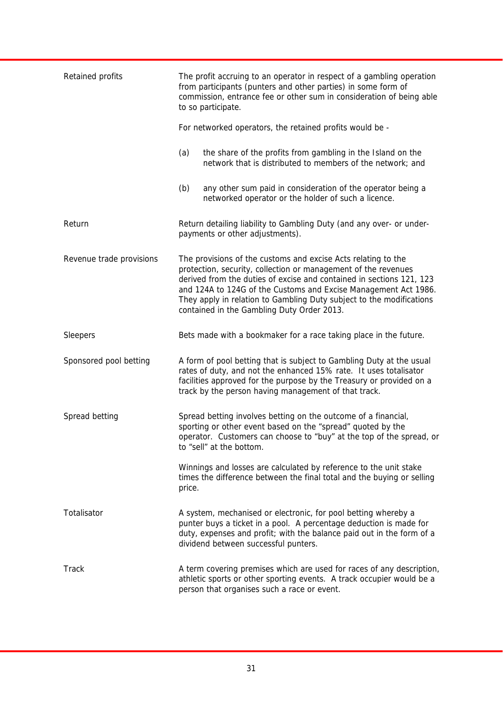| Retained profits         | The profit accruing to an operator in respect of a gambling operation<br>from participants (punters and other parties) in some form of<br>commission, entrance fee or other sum in consideration of being able<br>to so participate.                                                                                                                                                             |
|--------------------------|--------------------------------------------------------------------------------------------------------------------------------------------------------------------------------------------------------------------------------------------------------------------------------------------------------------------------------------------------------------------------------------------------|
|                          | For networked operators, the retained profits would be -                                                                                                                                                                                                                                                                                                                                         |
|                          | (a)<br>the share of the profits from gambling in the Island on the<br>network that is distributed to members of the network; and                                                                                                                                                                                                                                                                 |
|                          | (b)<br>any other sum paid in consideration of the operator being a<br>networked operator or the holder of such a licence.                                                                                                                                                                                                                                                                        |
| Return                   | Return detailing liability to Gambling Duty (and any over- or under-<br>payments or other adjustments).                                                                                                                                                                                                                                                                                          |
| Revenue trade provisions | The provisions of the customs and excise Acts relating to the<br>protection, security, collection or management of the revenues<br>derived from the duties of excise and contained in sections 121, 123<br>and 124A to 124G of the Customs and Excise Management Act 1986.<br>They apply in relation to Gambling Duty subject to the modifications<br>contained in the Gambling Duty Order 2013. |
| Sleepers                 | Bets made with a bookmaker for a race taking place in the future.                                                                                                                                                                                                                                                                                                                                |
| Sponsored pool betting   | A form of pool betting that is subject to Gambling Duty at the usual<br>rates of duty, and not the enhanced 15% rate. It uses totalisator<br>facilities approved for the purpose by the Treasury or provided on a<br>track by the person having management of that track.                                                                                                                        |
| Spread betting           | Spread betting involves betting on the outcome of a financial,<br>sporting or other event based on the "spread" quoted by the<br>operator. Customers can choose to "buy" at the top of the spread, or<br>to "sell" at the bottom.                                                                                                                                                                |
|                          | Winnings and losses are calculated by reference to the unit stake<br>times the difference between the final total and the buying or selling<br>price.                                                                                                                                                                                                                                            |
| Totalisator              | A system, mechanised or electronic, for pool betting whereby a<br>punter buys a ticket in a pool. A percentage deduction is made for<br>duty, expenses and profit; with the balance paid out in the form of a<br>dividend between successful punters.                                                                                                                                            |
| Track                    | A term covering premises which are used for races of any description,<br>athletic sports or other sporting events. A track occupier would be a<br>person that organises such a race or event.                                                                                                                                                                                                    |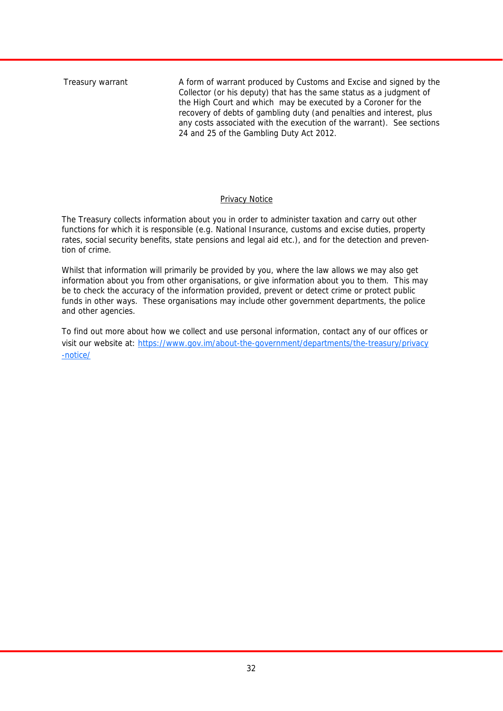Treasury warrant A form of warrant produced by Customs and Excise and signed by the Collector (or his deputy) that has the same status as a judgment of the High Court and which may be executed by a Coroner for the recovery of debts of gambling duty (and penalties and interest, plus any costs associated with the execution of the warrant). See sections 24 and 25 of the Gambling Duty Act 2012.

#### Privacy Notice

The Treasury collects information about you in order to administer taxation and carry out other functions for which it is responsible (e.g. National Insurance, customs and excise duties, property rates, social security benefits, state pensions and legal aid etc.), and for the detection and prevention of crime.

Whilst that information will primarily be provided by you, where the law allows we may also get information about you from other organisations, or give information about you to them. This may be to check the accuracy of the information provided, prevent or detect crime or protect public funds in other ways. These organisations may include other government departments, the police and other agencies.

To find out more about how we collect and use personal information, contact any of our offices or visit our website at: https://www.gov.im/about-the-government/departments/the-treasury/privacy -notice/